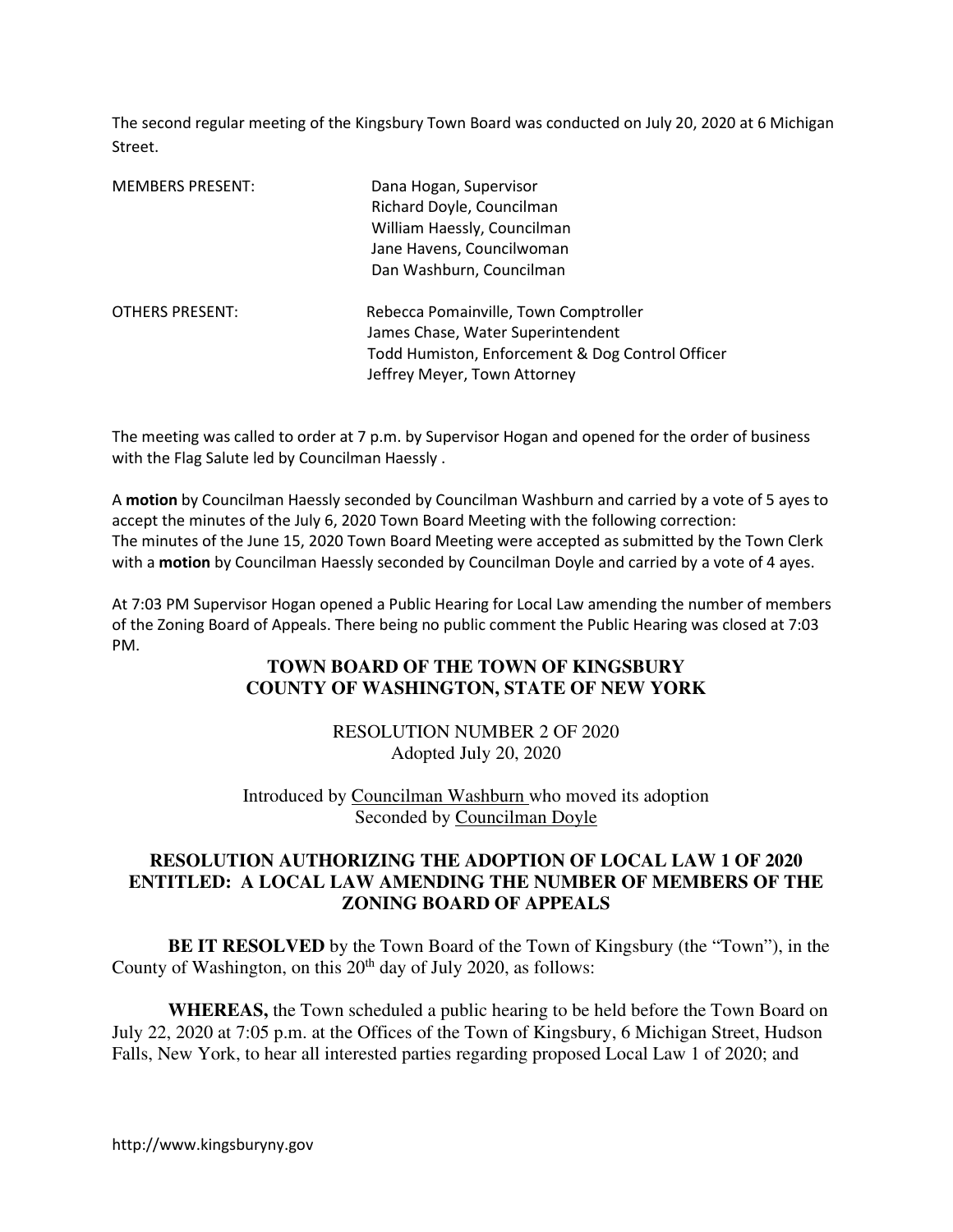The second regular meeting of the Kingsbury Town Board was conducted on July 20, 2020 at 6 Michigan Street.

| <b>MEMBERS PRESENT:</b> | Dana Hogan, Supervisor<br>Richard Doyle, Councilman<br>William Haessly, Councilman<br>Jane Havens, Councilwoman<br>Dan Washburn, Councilman                    |
|-------------------------|----------------------------------------------------------------------------------------------------------------------------------------------------------------|
| <b>OTHERS PRESENT:</b>  | Rebecca Pomainville, Town Comptroller<br>James Chase, Water Superintendent<br>Todd Humiston, Enforcement & Dog Control Officer<br>Jeffrey Meyer, Town Attorney |

The meeting was called to order at 7 p.m. by Supervisor Hogan and opened for the order of business with the Flag Salute led by Councilman Haessly .

A motion by Councilman Haessly seconded by Councilman Washburn and carried by a vote of 5 ayes to accept the minutes of the July 6, 2020 Town Board Meeting with the following correction: The minutes of the June 15, 2020 Town Board Meeting were accepted as submitted by the Town Clerk with a motion by Councilman Haessly seconded by Councilman Doyle and carried by a vote of 4 ayes.

At 7:03 PM Supervisor Hogan opened a Public Hearing for Local Law amending the number of members of the Zoning Board of Appeals. There being no public comment the Public Hearing was closed at 7:03 PM.

# **TOWN BOARD OF THE TOWN OF KINGSBURY COUNTY OF WASHINGTON, STATE OF NEW YORK**

RESOLUTION NUMBER 2 OF 2020 Adopted July 20, 2020

Introduced by Councilman Washburn who moved its adoption Seconded by Councilman Doyle

## **RESOLUTION AUTHORIZING THE ADOPTION OF LOCAL LAW 1 OF 2020 ENTITLED: A LOCAL LAW AMENDING THE NUMBER OF MEMBERS OF THE ZONING BOARD OF APPEALS**

**BE IT RESOLVED** by the Town Board of the Town of Kingsbury (the "Town"), in the County of Washington, on this  $20<sup>th</sup>$  day of July 2020, as follows:

**WHEREAS,** the Town scheduled a public hearing to be held before the Town Board on July 22, 2020 at 7:05 p.m. at the Offices of the Town of Kingsbury, 6 Michigan Street, Hudson Falls, New York, to hear all interested parties regarding proposed Local Law 1 of 2020; and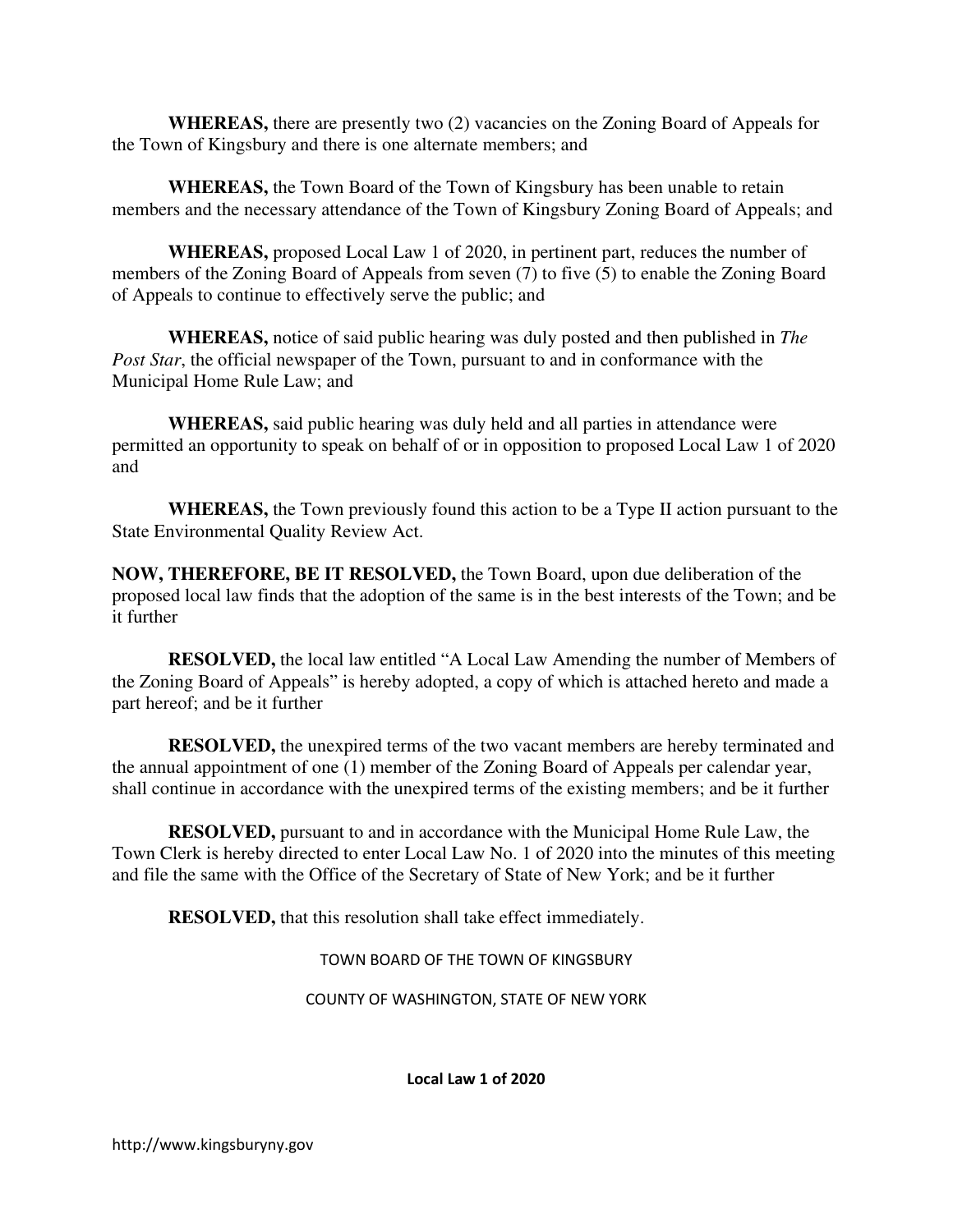**WHEREAS,** there are presently two (2) vacancies on the Zoning Board of Appeals for the Town of Kingsbury and there is one alternate members; and

**WHEREAS,** the Town Board of the Town of Kingsbury has been unable to retain members and the necessary attendance of the Town of Kingsbury Zoning Board of Appeals; and

**WHEREAS,** proposed Local Law 1 of 2020, in pertinent part, reduces the number of members of the Zoning Board of Appeals from seven (7) to five (5) to enable the Zoning Board of Appeals to continue to effectively serve the public; and

**WHEREAS,** notice of said public hearing was duly posted and then published in *The Post Star*, the official newspaper of the Town, pursuant to and in conformance with the Municipal Home Rule Law; and

**WHEREAS,** said public hearing was duly held and all parties in attendance were permitted an opportunity to speak on behalf of or in opposition to proposed Local Law 1 of 2020 and

**WHEREAS,** the Town previously found this action to be a Type II action pursuant to the State Environmental Quality Review Act.

**NOW, THEREFORE, BE IT RESOLVED,** the Town Board, upon due deliberation of the proposed local law finds that the adoption of the same is in the best interests of the Town; and be it further

**RESOLVED,** the local law entitled "A Local Law Amending the number of Members of the Zoning Board of Appeals" is hereby adopted, a copy of which is attached hereto and made a part hereof; and be it further

**RESOLVED,** the unexpired terms of the two vacant members are hereby terminated and the annual appointment of one (1) member of the Zoning Board of Appeals per calendar year, shall continue in accordance with the unexpired terms of the existing members; and be it further

**RESOLVED,** pursuant to and in accordance with the Municipal Home Rule Law, the Town Clerk is hereby directed to enter Local Law No. 1 of 2020 into the minutes of this meeting and file the same with the Office of the Secretary of State of New York; and be it further

**RESOLVED,** that this resolution shall take effect immediately.

TOWN BOARD OF THE TOWN OF KINGSBURY

COUNTY OF WASHINGTON, STATE OF NEW YORK

Local Law 1 of 2020

http://www.kingsburyny.gov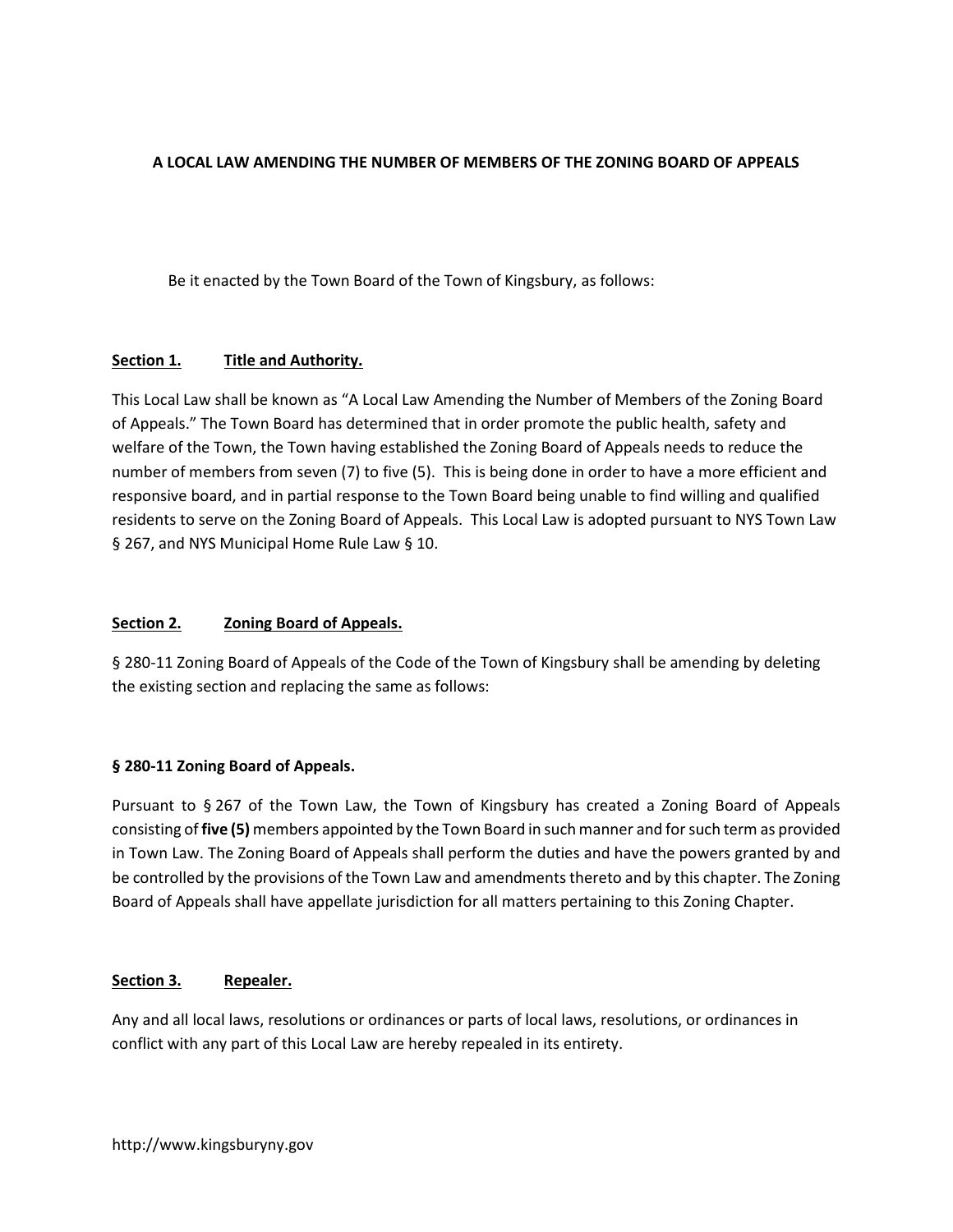### A LOCAL LAW AMENDING THE NUMBER OF MEMBERS OF THE ZONING BOARD OF APPEALS

Be it enacted by the Town Board of the Town of Kingsbury, as follows:

### Section 1. Title and Authority.

This Local Law shall be known as "A Local Law Amending the Number of Members of the Zoning Board of Appeals." The Town Board has determined that in order promote the public health, safety and welfare of the Town, the Town having established the Zoning Board of Appeals needs to reduce the number of members from seven (7) to five (5). This is being done in order to have a more efficient and responsive board, and in partial response to the Town Board being unable to find willing and qualified residents to serve on the Zoning Board of Appeals. This Local Law is adopted pursuant to NYS Town Law § 267, and NYS Municipal Home Rule Law § 10.

### Section 2. Zoning Board of Appeals.

§ 280-11 Zoning Board of Appeals of the Code of the Town of Kingsbury shall be amending by deleting the existing section and replacing the same as follows:

### § 280-11 Zoning Board of Appeals.

Pursuant to § 267 of the Town Law, the Town of Kingsbury has created a Zoning Board of Appeals consisting of five (5) members appointed by the Town Board in such manner and for such term as provided in Town Law. The Zoning Board of Appeals shall perform the duties and have the powers granted by and be controlled by the provisions of the Town Law and amendments thereto and by this chapter. The Zoning Board of Appeals shall have appellate jurisdiction for all matters pertaining to this Zoning Chapter.

### Section 3. Repealer.

Any and all local laws, resolutions or ordinances or parts of local laws, resolutions, or ordinances in conflict with any part of this Local Law are hereby repealed in its entirety.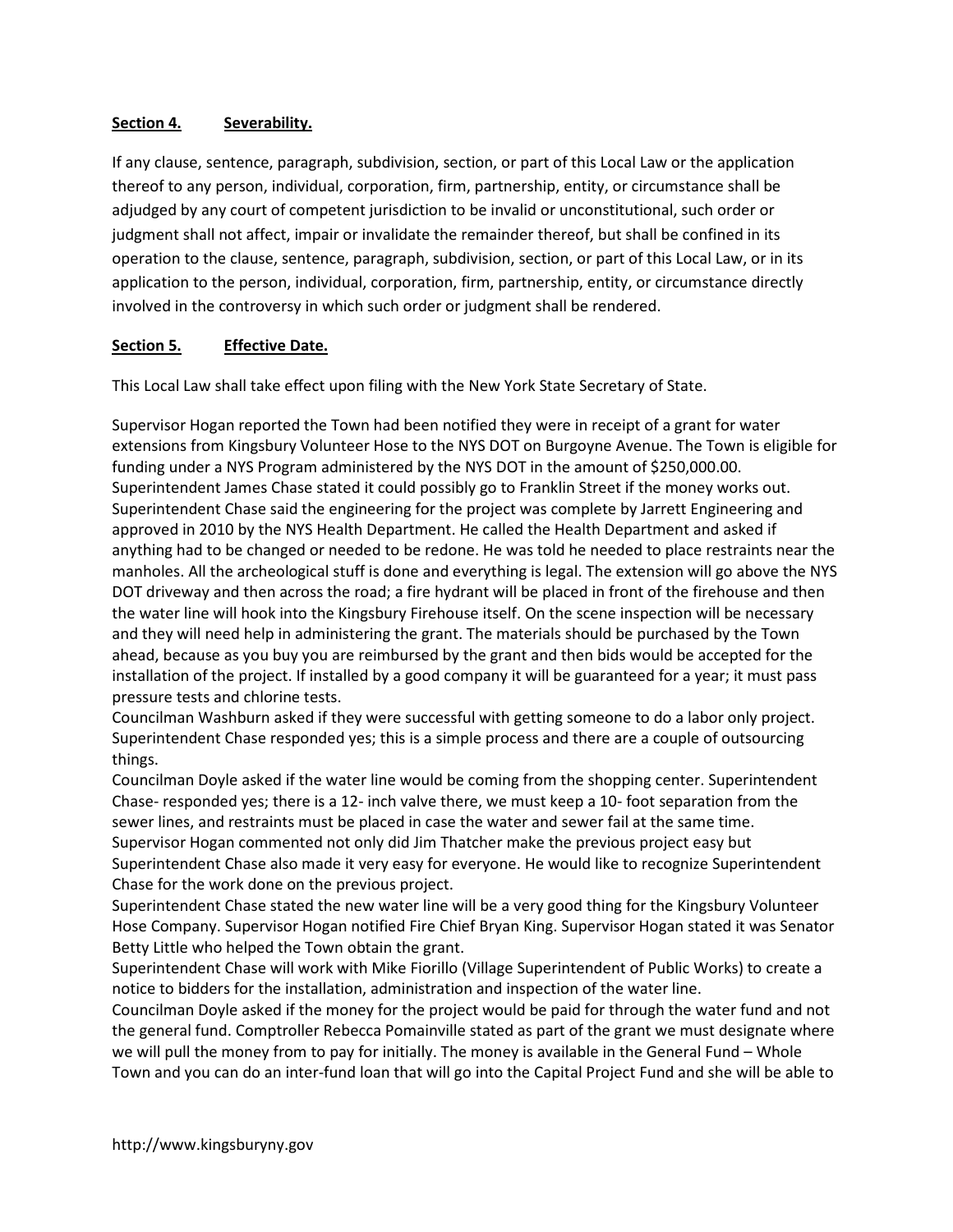### Section 4. Severability.

If any clause, sentence, paragraph, subdivision, section, or part of this Local Law or the application thereof to any person, individual, corporation, firm, partnership, entity, or circumstance shall be adjudged by any court of competent jurisdiction to be invalid or unconstitutional, such order or judgment shall not affect, impair or invalidate the remainder thereof, but shall be confined in its operation to the clause, sentence, paragraph, subdivision, section, or part of this Local Law, or in its application to the person, individual, corporation, firm, partnership, entity, or circumstance directly involved in the controversy in which such order or judgment shall be rendered.

### Section 5. Effective Date.

This Local Law shall take effect upon filing with the New York State Secretary of State.

Supervisor Hogan reported the Town had been notified they were in receipt of a grant for water extensions from Kingsbury Volunteer Hose to the NYS DOT on Burgoyne Avenue. The Town is eligible for funding under a NYS Program administered by the NYS DOT in the amount of \$250,000.00. Superintendent James Chase stated it could possibly go to Franklin Street if the money works out. Superintendent Chase said the engineering for the project was complete by Jarrett Engineering and approved in 2010 by the NYS Health Department. He called the Health Department and asked if anything had to be changed or needed to be redone. He was told he needed to place restraints near the manholes. All the archeological stuff is done and everything is legal. The extension will go above the NYS DOT driveway and then across the road; a fire hydrant will be placed in front of the firehouse and then the water line will hook into the Kingsbury Firehouse itself. On the scene inspection will be necessary and they will need help in administering the grant. The materials should be purchased by the Town ahead, because as you buy you are reimbursed by the grant and then bids would be accepted for the installation of the project. If installed by a good company it will be guaranteed for a year; it must pass pressure tests and chlorine tests.

Councilman Washburn asked if they were successful with getting someone to do a labor only project. Superintendent Chase responded yes; this is a simple process and there are a couple of outsourcing things.

Councilman Doyle asked if the water line would be coming from the shopping center. Superintendent Chase- responded yes; there is a 12- inch valve there, we must keep a 10- foot separation from the sewer lines, and restraints must be placed in case the water and sewer fail at the same time. Supervisor Hogan commented not only did Jim Thatcher make the previous project easy but Superintendent Chase also made it very easy for everyone. He would like to recognize Superintendent Chase for the work done on the previous project.

Superintendent Chase stated the new water line will be a very good thing for the Kingsbury Volunteer Hose Company. Supervisor Hogan notified Fire Chief Bryan King. Supervisor Hogan stated it was Senator Betty Little who helped the Town obtain the grant.

Superintendent Chase will work with Mike Fiorillo (Village Superintendent of Public Works) to create a notice to bidders for the installation, administration and inspection of the water line.

Councilman Doyle asked if the money for the project would be paid for through the water fund and not the general fund. Comptroller Rebecca Pomainville stated as part of the grant we must designate where we will pull the money from to pay for initially. The money is available in the General Fund – Whole Town and you can do an inter-fund loan that will go into the Capital Project Fund and she will be able to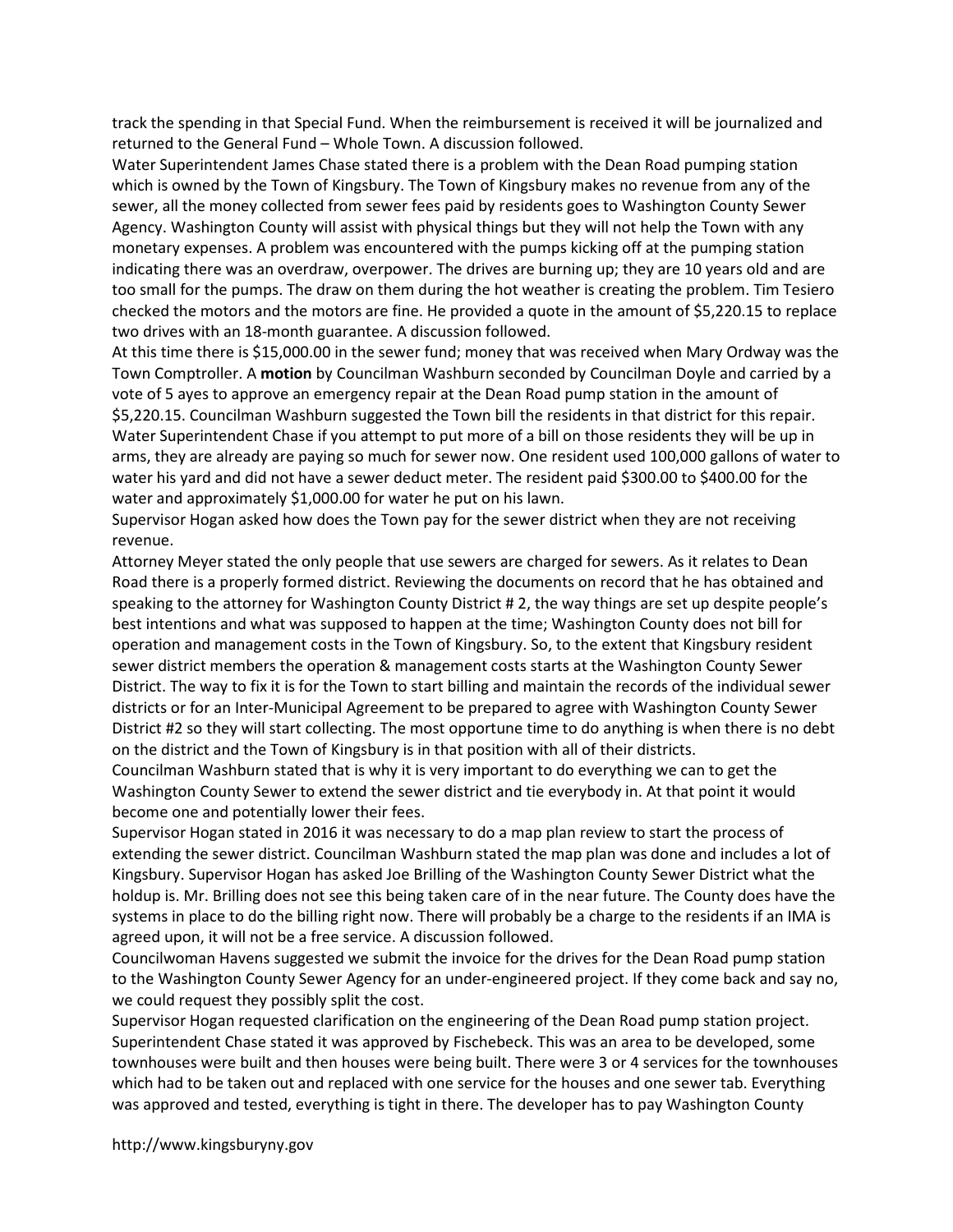track the spending in that Special Fund. When the reimbursement is received it will be journalized and returned to the General Fund – Whole Town. A discussion followed.

Water Superintendent James Chase stated there is a problem with the Dean Road pumping station which is owned by the Town of Kingsbury. The Town of Kingsbury makes no revenue from any of the sewer, all the money collected from sewer fees paid by residents goes to Washington County Sewer Agency. Washington County will assist with physical things but they will not help the Town with any monetary expenses. A problem was encountered with the pumps kicking off at the pumping station indicating there was an overdraw, overpower. The drives are burning up; they are 10 years old and are too small for the pumps. The draw on them during the hot weather is creating the problem. Tim Tesiero checked the motors and the motors are fine. He provided a quote in the amount of \$5,220.15 to replace two drives with an 18-month guarantee. A discussion followed.

At this time there is \$15,000.00 in the sewer fund; money that was received when Mary Ordway was the Town Comptroller. A motion by Councilman Washburn seconded by Councilman Doyle and carried by a vote of 5 ayes to approve an emergency repair at the Dean Road pump station in the amount of \$5,220.15. Councilman Washburn suggested the Town bill the residents in that district for this repair. Water Superintendent Chase if you attempt to put more of a bill on those residents they will be up in arms, they are already are paying so much for sewer now. One resident used 100,000 gallons of water to water his yard and did not have a sewer deduct meter. The resident paid \$300.00 to \$400.00 for the water and approximately \$1,000.00 for water he put on his lawn.

Supervisor Hogan asked how does the Town pay for the sewer district when they are not receiving revenue.

Attorney Meyer stated the only people that use sewers are charged for sewers. As it relates to Dean Road there is a properly formed district. Reviewing the documents on record that he has obtained and speaking to the attorney for Washington County District # 2, the way things are set up despite people's best intentions and what was supposed to happen at the time; Washington County does not bill for operation and management costs in the Town of Kingsbury. So, to the extent that Kingsbury resident sewer district members the operation & management costs starts at the Washington County Sewer District. The way to fix it is for the Town to start billing and maintain the records of the individual sewer districts or for an Inter-Municipal Agreement to be prepared to agree with Washington County Sewer District #2 so they will start collecting. The most opportune time to do anything is when there is no debt on the district and the Town of Kingsbury is in that position with all of their districts.

Councilman Washburn stated that is why it is very important to do everything we can to get the Washington County Sewer to extend the sewer district and tie everybody in. At that point it would become one and potentially lower their fees.

Supervisor Hogan stated in 2016 it was necessary to do a map plan review to start the process of extending the sewer district. Councilman Washburn stated the map plan was done and includes a lot of Kingsbury. Supervisor Hogan has asked Joe Brilling of the Washington County Sewer District what the holdup is. Mr. Brilling does not see this being taken care of in the near future. The County does have the systems in place to do the billing right now. There will probably be a charge to the residents if an IMA is agreed upon, it will not be a free service. A discussion followed.

Councilwoman Havens suggested we submit the invoice for the drives for the Dean Road pump station to the Washington County Sewer Agency for an under-engineered project. If they come back and say no, we could request they possibly split the cost.

Supervisor Hogan requested clarification on the engineering of the Dean Road pump station project. Superintendent Chase stated it was approved by Fischebeck. This was an area to be developed, some townhouses were built and then houses were being built. There were 3 or 4 services for the townhouses which had to be taken out and replaced with one service for the houses and one sewer tab. Everything was approved and tested, everything is tight in there. The developer has to pay Washington County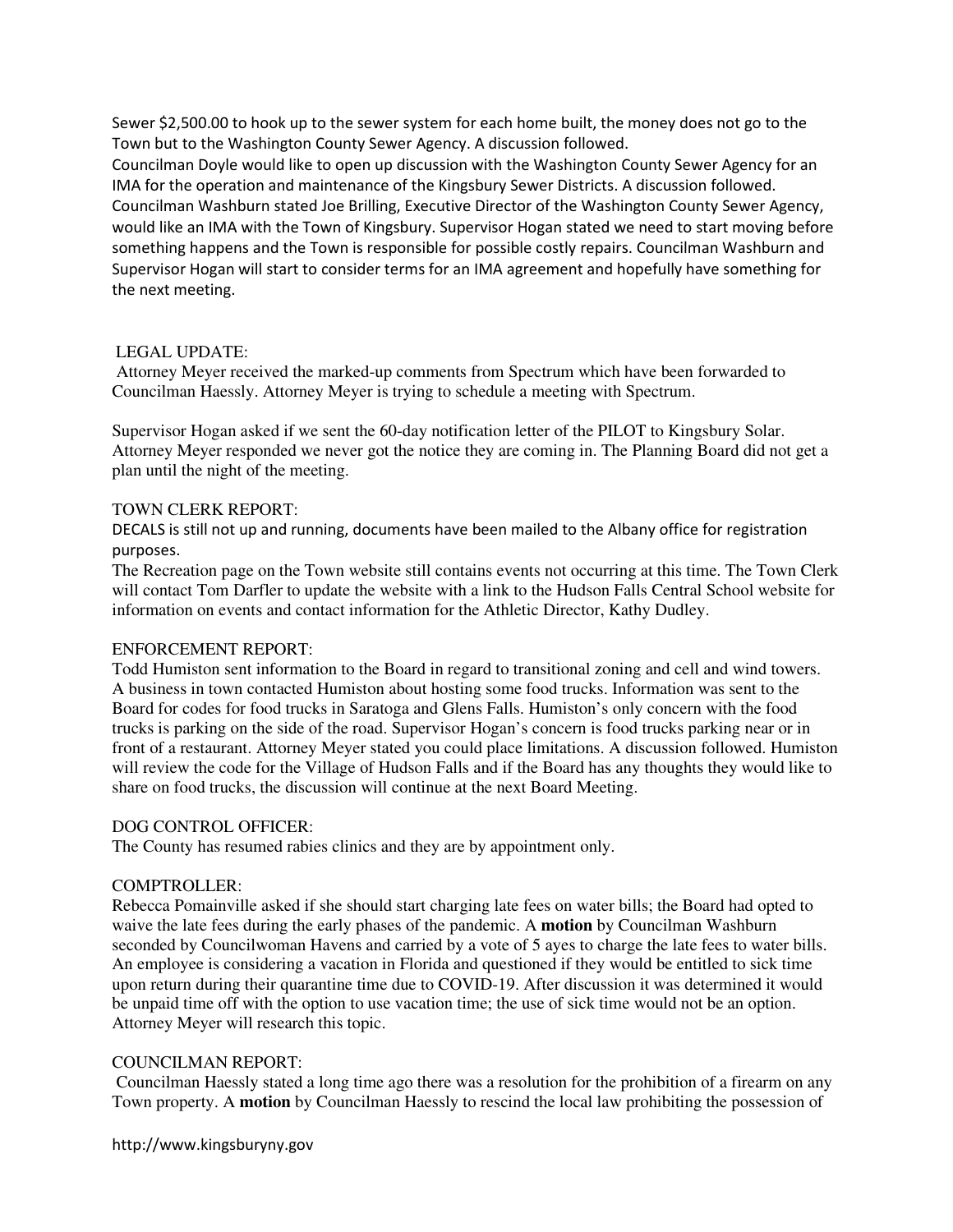Sewer \$2,500.00 to hook up to the sewer system for each home built, the money does not go to the Town but to the Washington County Sewer Agency. A discussion followed.

Councilman Doyle would like to open up discussion with the Washington County Sewer Agency for an IMA for the operation and maintenance of the Kingsbury Sewer Districts. A discussion followed. Councilman Washburn stated Joe Brilling, Executive Director of the Washington County Sewer Agency, would like an IMA with the Town of Kingsbury. Supervisor Hogan stated we need to start moving before something happens and the Town is responsible for possible costly repairs. Councilman Washburn and Supervisor Hogan will start to consider terms for an IMA agreement and hopefully have something for the next meeting.

#### LEGAL UPDATE:

 Attorney Meyer received the marked-up comments from Spectrum which have been forwarded to Councilman Haessly. Attorney Meyer is trying to schedule a meeting with Spectrum.

Supervisor Hogan asked if we sent the 60-day notification letter of the PILOT to Kingsbury Solar. Attorney Meyer responded we never got the notice they are coming in. The Planning Board did not get a plan until the night of the meeting.

#### TOWN CLERK REPORT:

DECALS is still not up and running, documents have been mailed to the Albany office for registration purposes.

The Recreation page on the Town website still contains events not occurring at this time. The Town Clerk will contact Tom Darfler to update the website with a link to the Hudson Falls Central School website for information on events and contact information for the Athletic Director, Kathy Dudley.

#### ENFORCEMENT REPORT:

Todd Humiston sent information to the Board in regard to transitional zoning and cell and wind towers. A business in town contacted Humiston about hosting some food trucks. Information was sent to the Board for codes for food trucks in Saratoga and Glens Falls. Humiston's only concern with the food trucks is parking on the side of the road. Supervisor Hogan's concern is food trucks parking near or in front of a restaurant. Attorney Meyer stated you could place limitations. A discussion followed. Humiston will review the code for the Village of Hudson Falls and if the Board has any thoughts they would like to share on food trucks, the discussion will continue at the next Board Meeting.

#### DOG CONTROL OFFICER:

The County has resumed rabies clinics and they are by appointment only.

#### COMPTROLLER:

Rebecca Pomainville asked if she should start charging late fees on water bills; the Board had opted to waive the late fees during the early phases of the pandemic. A **motion** by Councilman Washburn seconded by Councilwoman Havens and carried by a vote of 5 ayes to charge the late fees to water bills. An employee is considering a vacation in Florida and questioned if they would be entitled to sick time upon return during their quarantine time due to COVID-19. After discussion it was determined it would be unpaid time off with the option to use vacation time; the use of sick time would not be an option. Attorney Meyer will research this topic.

#### COUNCILMAN REPORT:

 Councilman Haessly stated a long time ago there was a resolution for the prohibition of a firearm on any Town property. A **motion** by Councilman Haessly to rescind the local law prohibiting the possession of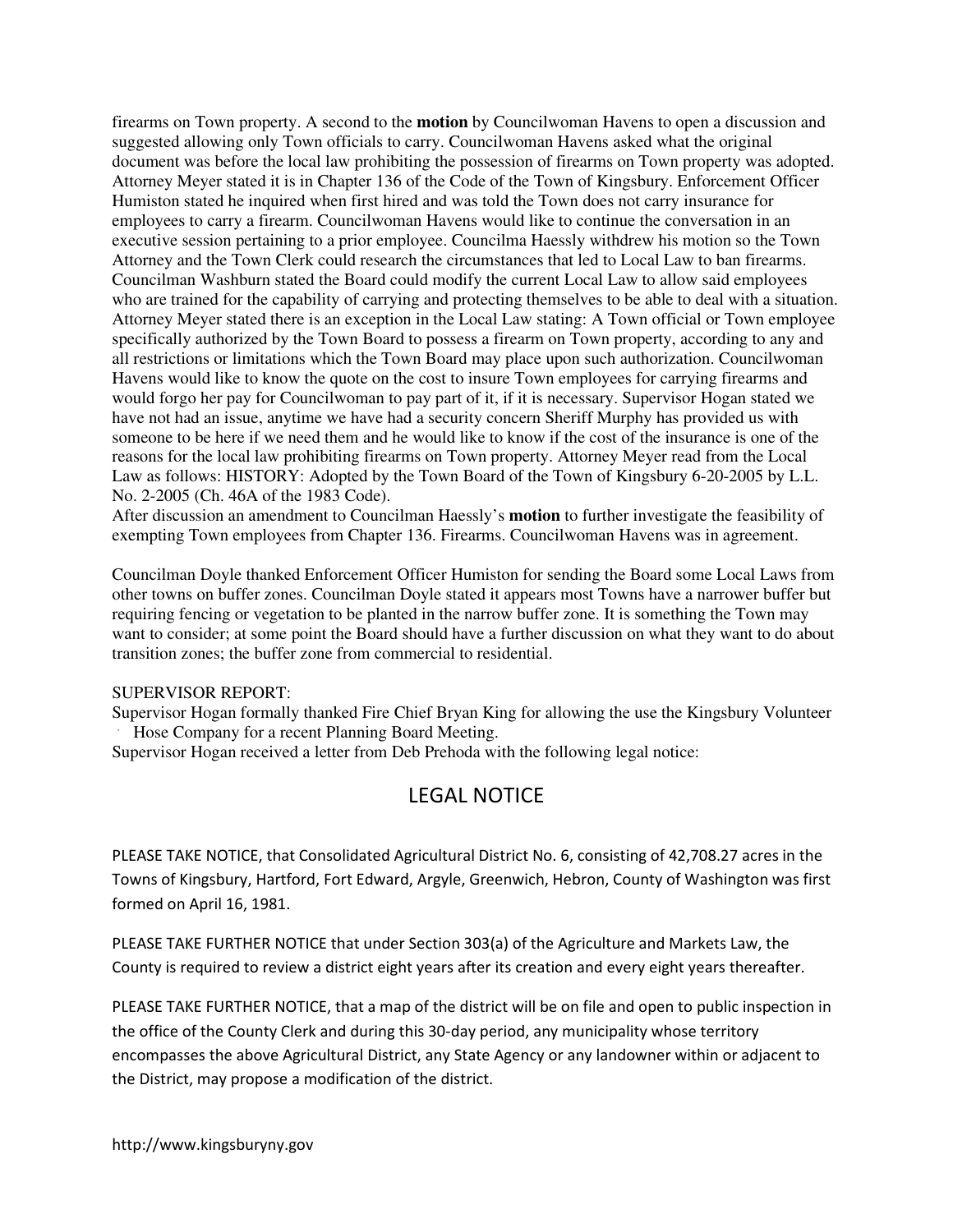firearms on Town property. A second to the **motion** by Councilwoman Havens to open a discussion and suggested allowing only Town officials to carry. Councilwoman Havens asked what the original document was before the local law prohibiting the possession of firearms on Town property was adopted. Attorney Meyer stated it is in Chapter 136 of the Code of the Town of Kingsbury. Enforcement Officer Humiston stated he inquired when first hired and was told the Town does not carry insurance for employees to carry a firearm. Councilwoman Havens would like to continue the conversation in an executive session pertaining to a prior employee. Councilma Haessly withdrew his motion so the Town Attorney and the Town Clerk could research the circumstances that led to Local Law to ban firearms. Councilman Washburn stated the Board could modify the current Local Law to allow said employees who are trained for the capability of carrying and protecting themselves to be able to deal with a situation. Attorney Meyer stated there is an exception in the Local Law stating: A Town official or Town employee specifically authorized by the Town Board to possess a firearm on Town property, according to any and all restrictions or limitations which the Town Board may place upon such authorization. Councilwoman Havens would like to know the quote on the cost to insure Town employees for carrying firearms and would forgo her pay for Councilwoman to pay part of it, if it is necessary. Supervisor Hogan stated we have not had an issue, anytime we have had a security concern Sheriff Murphy has provided us with someone to be here if we need them and he would like to know if the cost of the insurance is one of the reasons for the local law prohibiting firearms on Town property. Attorney Meyer read from the Local Law as follows: HISTORY: Adopted by the Town Board of the Town of Kingsbury 6-20-2005 by L.L. No. 2-2005 (Ch. 46A of the 1983 Code).

After discussion an amendment to Councilman Haessly's **motion** to further investigate the feasibility of exempting Town employees from Chapter 136. Firearms. Councilwoman Havens was in agreement.

Councilman Doyle thanked Enforcement Officer Humiston for sending the Board some Local Laws from other towns on buffer zones. Councilman Doyle stated it appears most Towns have a narrower buffer but requiring fencing or vegetation to be planted in the narrow buffer zone. It is something the Town may want to consider; at some point the Board should have a further discussion on what they want to do about transition zones; the buffer zone from commercial to residential.

#### SUPERVISOR REPORT:

Supervisor Hogan formally thanked Fire Chief Bryan King for allowing the use the Kingsbury Volunteer Hose Company for a recent Planning Board Meeting.

Supervisor Hogan received a letter from Deb Prehoda with the following legal notice:

# LEGAL NOTICE

PLEASE TAKE NOTICE, that Consolidated Agricultural District No. 6, consisting of 42,708.27 acres in the Towns of Kingsbury, Hartford, Fort Edward, Argyle, Greenwich, Hebron, County of Washington was first formed on April 16, 1981.

PLEASE TAKE FURTHER NOTICE that under Section 303(a) of the Agriculture and Markets Law, the County is required to review a district eight years after its creation and every eight years thereafter.

PLEASE TAKE FURTHER NOTICE, that a map of the district will be on file and open to public inspection in the office of the County Clerk and during this 30-day period, any municipality whose territory encompasses the above Agricultural District, any State Agency or any landowner within or adjacent to the District, may propose a modification of the district.